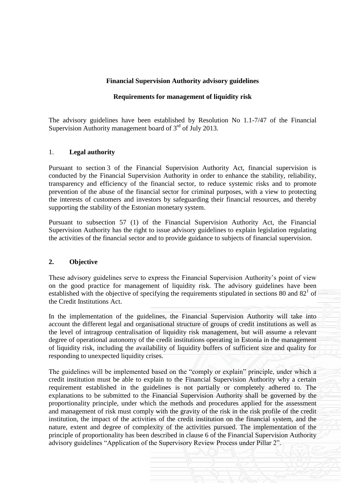## **Financial Supervision Authority advisory guidelines**

### **Requirements for management of liquidity risk**

The advisory guidelines have been established by Resolution No 1.1-7/47 of the Financial Supervision Authority management board of  $3<sup>rd</sup>$  of July 2013.

## 1. **Legal authority**

Pursuant to section 3 of the Financial Supervision Authority Act, financial supervision is conducted by the Financial Supervision Authority in order to enhance the stability, reliability, transparency and efficiency of the financial sector, to reduce systemic risks and to promote prevention of the abuse of the financial sector for criminal purposes, with a view to protecting the interests of customers and investors by safeguarding their financial resources, and thereby supporting the stability of the Estonian monetary system.

Pursuant to subsection 57 (1) of the Financial Supervision Authority Act, the Financial Supervision Authority has the right to issue advisory guidelines to explain legislation regulating the activities of the financial sector and to provide guidance to subjects of financial supervision.

# **2. Objective**

These advisory guidelines serve to express the Financial Supervision Authority's point of view on the good practice for management of liquidity risk. The advisory guidelines have been established with the objective of specifying the requirements stipulated in sections 80 and  $82<sup>1</sup>$  of the Credit Institutions Act.

In the implementation of the guidelines, the Financial Supervision Authority will take into account the different legal and organisational structure of groups of credit institutions as well as the level of intragroup centralisation of liquidity risk management, but will assume a relevant degree of operational autonomy of the credit institutions operating in Estonia in the management of liquidity risk, including the availability of liquidity buffers of sufficient size and quality for responding to unexpected liquidity crises.

The guidelines will be implemented based on the "comply or explain" principle, under which a credit institution must be able to explain to the Financial Supervision Authority why a certain requirement established in the guidelines is not partially or completely adhered to. The explanations to be submitted to the Financial Supervision Authority shall be governed by the proportionality principle, under which the methods and procedures applied for the assessment and management of risk must comply with the gravity of the risk in the risk profile of the credit institution, the impact of the activities of the credit institution on the financial system, and the nature, extent and degree of complexity of the activities pursued. The implementation of the principle of proportionality has been described in clause 6 of the Financial Supervision Authority advisory guidelines "Application of the Supervisory Review Process under Pillar 2".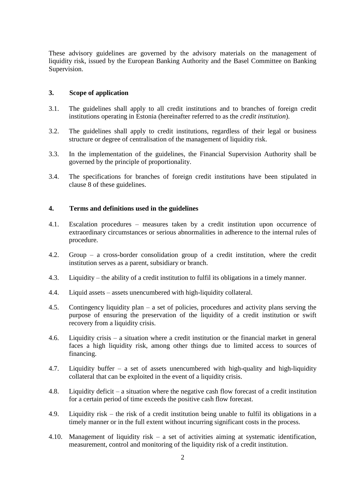These advisory guidelines are governed by the advisory materials on the management of liquidity risk, issued by the European Banking Authority and the Basel Committee on Banking Supervision.

### **3. Scope of application**

- 3.1. The guidelines shall apply to all credit institutions and to branches of foreign credit institutions operating in Estonia (hereinafter referred to as the *credit institution*).
- 3.2. The guidelines shall apply to credit institutions, regardless of their legal or business structure or degree of centralisation of the management of liquidity risk.
- 3.3. In the implementation of the guidelines, the Financial Supervision Authority shall be governed by the principle of proportionality.
- 3.4. The specifications for branches of foreign credit institutions have been stipulated in clause 8 of these guidelines.

### **4. Terms and definitions used in the guidelines**

- 4.1. Escalation procedures measures taken by a credit institution upon occurrence of extraordinary circumstances or serious abnormalities in adherence to the internal rules of procedure.
- 4.2. Group a cross-border consolidation group of a credit institution, where the credit institution serves as a parent, subsidiary or branch.
- 4.3. Liquidity the ability of a credit institution to fulfil its obligations in a timely manner.
- 4.4. Liquid assets assets unencumbered with high-liquidity collateral.
- 4.5. Contingency liquidity plan a set of policies, procedures and activity plans serving the purpose of ensuring the preservation of the liquidity of a credit institution or swift recovery from a liquidity crisis.
- 4.6. Liquidity crisis a situation where a credit institution or the financial market in general faces a high liquidity risk, among other things due to limited access to sources of financing.
- 4.7. Liquidity buffer a set of assets unencumbered with high-quality and high-liquidity collateral that can be exploited in the event of a liquidity crisis.
- 4.8. Liquidity deficit a situation where the negative cash flow forecast of a credit institution for a certain period of time exceeds the positive cash flow forecast.
- 4.9. Liquidity risk the risk of a credit institution being unable to fulfil its obligations in a timely manner or in the full extent without incurring significant costs in the process.
- 4.10. Management of liquidity risk a set of activities aiming at systematic identification, measurement, control and monitoring of the liquidity risk of a credit institution.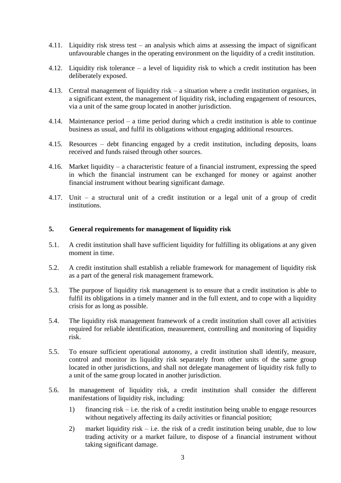- 4.11. Liquidity risk stress test an analysis which aims at assessing the impact of significant unfavourable changes in the operating environment on the liquidity of a credit institution.
- 4.12. Liquidity risk tolerance a level of liquidity risk to which a credit institution has been deliberately exposed.
- 4.13. Central management of liquidity risk a situation where a credit institution organises, in a significant extent, the management of liquidity risk, including engagement of resources, via a unit of the same group located in another jurisdiction.
- 4.14. Maintenance period a time period during which a credit institution is able to continue business as usual, and fulfil its obligations without engaging additional resources.
- 4.15. Resources debt financing engaged by a credit institution, including deposits, loans received and funds raised through other sources.
- 4.16. Market liquidity a characteristic feature of a financial instrument, expressing the speed in which the financial instrument can be exchanged for money or against another financial instrument without bearing significant damage.
- 4.17. Unit a structural unit of a credit institution or a legal unit of a group of credit institutions.

### **5. General requirements for management of liquidity risk**

- 5.1. A credit institution shall have sufficient liquidity for fulfilling its obligations at any given moment in time.
- 5.2. A credit institution shall establish a reliable framework for management of liquidity risk as a part of the general risk management framework.
- 5.3. The purpose of liquidity risk management is to ensure that a credit institution is able to fulfil its obligations in a timely manner and in the full extent, and to cope with a liquidity crisis for as long as possible.
- 5.4. The liquidity risk management framework of a credit institution shall cover all activities required for reliable identification, measurement, controlling and monitoring of liquidity risk.
- 5.5. To ensure sufficient operational autonomy, a credit institution shall identify, measure, control and monitor its liquidity risk separately from other units of the same group located in other jurisdictions, and shall not delegate management of liquidity risk fully to a unit of the same group located in another jurisdiction.
- 5.6. In management of liquidity risk, a credit institution shall consider the different manifestations of liquidity risk, including:
	- 1) financing risk i.e. the risk of a credit institution being unable to engage resources without negatively affecting its daily activities or financial position;
	- 2) market liquidity risk i.e. the risk of a credit institution being unable, due to low trading activity or a market failure, to dispose of a financial instrument without taking significant damage.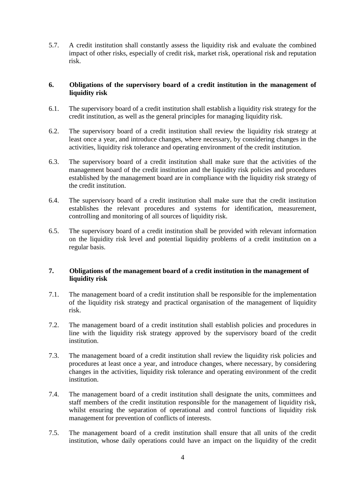5.7. A credit institution shall constantly assess the liquidity risk and evaluate the combined impact of other risks, especially of credit risk, market risk, operational risk and reputation risk.

## **6. Obligations of the supervisory board of a credit institution in the management of liquidity risk**

- 6.1. The supervisory board of a credit institution shall establish a liquidity risk strategy for the credit institution, as well as the general principles for managing liquidity risk.
- 6.2. The supervisory board of a credit institution shall review the liquidity risk strategy at least once a year, and introduce changes, where necessary, by considering changes in the activities, liquidity risk tolerance and operating environment of the credit institution.
- 6.3. The supervisory board of a credit institution shall make sure that the activities of the management board of the credit institution and the liquidity risk policies and procedures established by the management board are in compliance with the liquidity risk strategy of the credit institution.
- 6.4. The supervisory board of a credit institution shall make sure that the credit institution establishes the relevant procedures and systems for identification, measurement, controlling and monitoring of all sources of liquidity risk.
- 6.5. The supervisory board of a credit institution shall be provided with relevant information on the liquidity risk level and potential liquidity problems of a credit institution on a regular basis.

## **7. Obligations of the management board of a credit institution in the management of liquidity risk**

- 7.1. The management board of a credit institution shall be responsible for the implementation of the liquidity risk strategy and practical organisation of the management of liquidity risk.
- 7.2. The management board of a credit institution shall establish policies and procedures in line with the liquidity risk strategy approved by the supervisory board of the credit institution.
- 7.3. The management board of a credit institution shall review the liquidity risk policies and procedures at least once a year, and introduce changes, where necessary, by considering changes in the activities, liquidity risk tolerance and operating environment of the credit institution.
- 7.4. The management board of a credit institution shall designate the units, committees and staff members of the credit institution responsible for the management of liquidity risk, whilst ensuring the separation of operational and control functions of liquidity risk management for prevention of conflicts of interests.
- 7.5. The management board of a credit institution shall ensure that all units of the credit institution, whose daily operations could have an impact on the liquidity of the credit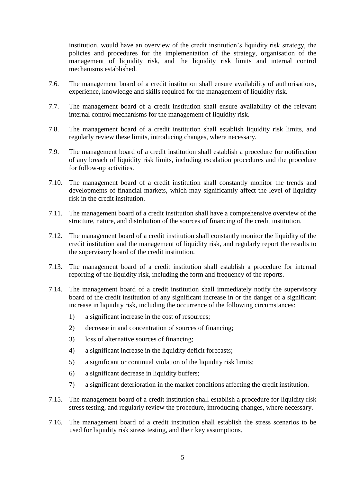institution, would have an overview of the credit institution's liquidity risk strategy, the policies and procedures for the implementation of the strategy, organisation of the management of liquidity risk, and the liquidity risk limits and internal control mechanisms established.

- 7.6. The management board of a credit institution shall ensure availability of authorisations, experience, knowledge and skills required for the management of liquidity risk.
- 7.7. The management board of a credit institution shall ensure availability of the relevant internal control mechanisms for the management of liquidity risk.
- 7.8. The management board of a credit institution shall establish liquidity risk limits, and regularly review these limits, introducing changes, where necessary.
- 7.9. The management board of a credit institution shall establish a procedure for notification of any breach of liquidity risk limits, including escalation procedures and the procedure for follow-up activities.
- 7.10. The management board of a credit institution shall constantly monitor the trends and developments of financial markets, which may significantly affect the level of liquidity risk in the credit institution.
- 7.11. The management board of a credit institution shall have a comprehensive overview of the structure, nature, and distribution of the sources of financing of the credit institution.
- 7.12. The management board of a credit institution shall constantly monitor the liquidity of the credit institution and the management of liquidity risk, and regularly report the results to the supervisory board of the credit institution.
- 7.13. The management board of a credit institution shall establish a procedure for internal reporting of the liquidity risk, including the form and frequency of the reports.
- 7.14. The management board of a credit institution shall immediately notify the supervisory board of the credit institution of any significant increase in or the danger of a significant increase in liquidity risk, including the occurrence of the following circumstances:
	- 1) a significant increase in the cost of resources;
	- 2) decrease in and concentration of sources of financing;
	- 3) loss of alternative sources of financing;
	- 4) a significant increase in the liquidity deficit forecasts;
	- 5) a significant or continual violation of the liquidity risk limits;
	- 6) a significant decrease in liquidity buffers;
	- 7) a significant deterioration in the market conditions affecting the credit institution.
- 7.15. The management board of a credit institution shall establish a procedure for liquidity risk stress testing, and regularly review the procedure, introducing changes, where necessary.
- 7.16. The management board of a credit institution shall establish the stress scenarios to be used for liquidity risk stress testing, and their key assumptions.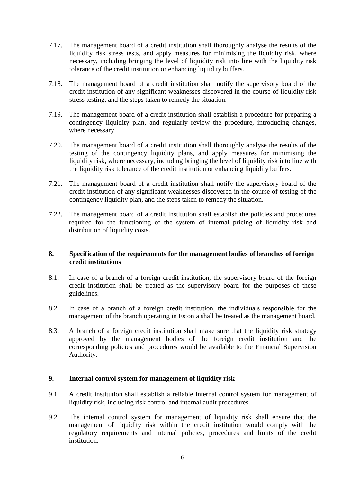- 7.17. The management board of a credit institution shall thoroughly analyse the results of the liquidity risk stress tests, and apply measures for minimising the liquidity risk, where necessary, including bringing the level of liquidity risk into line with the liquidity risk tolerance of the credit institution or enhancing liquidity buffers.
- 7.18. The management board of a credit institution shall notify the supervisory board of the credit institution of any significant weaknesses discovered in the course of liquidity risk stress testing, and the steps taken to remedy the situation.
- 7.19. The management board of a credit institution shall establish a procedure for preparing a contingency liquidity plan, and regularly review the procedure, introducing changes, where necessary.
- 7.20. The management board of a credit institution shall thoroughly analyse the results of the testing of the contingency liquidity plans, and apply measures for minimising the liquidity risk, where necessary, including bringing the level of liquidity risk into line with the liquidity risk tolerance of the credit institution or enhancing liquidity buffers.
- 7.21. The management board of a credit institution shall notify the supervisory board of the credit institution of any significant weaknesses discovered in the course of testing of the contingency liquidity plan, and the steps taken to remedy the situation.
- 7.22. The management board of a credit institution shall establish the policies and procedures required for the functioning of the system of internal pricing of liquidity risk and distribution of liquidity costs.

## **8. Specification of the requirements for the management bodies of branches of foreign credit institutions**

- 8.1. In case of a branch of a foreign credit institution, the supervisory board of the foreign credit institution shall be treated as the supervisory board for the purposes of these guidelines.
- 8.2. In case of a branch of a foreign credit institution, the individuals responsible for the management of the branch operating in Estonia shall be treated as the management board.
- 8.3. A branch of a foreign credit institution shall make sure that the liquidity risk strategy approved by the management bodies of the foreign credit institution and the corresponding policies and procedures would be available to the Financial Supervision Authority.

### **9. Internal control system for management of liquidity risk**

- 9.1. A credit institution shall establish a reliable internal control system for management of liquidity risk, including risk control and internal audit procedures.
- 9.2. The internal control system for management of liquidity risk shall ensure that the management of liquidity risk within the credit institution would comply with the regulatory requirements and internal policies, procedures and limits of the credit institution.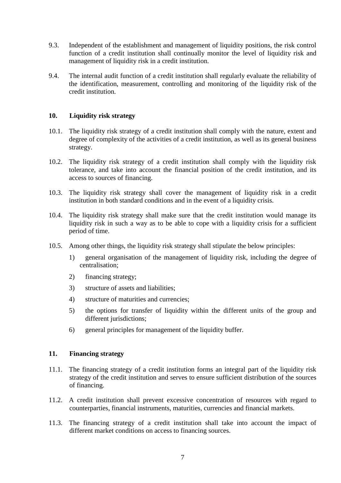- 9.3. Independent of the establishment and management of liquidity positions, the risk control function of a credit institution shall continually monitor the level of liquidity risk and management of liquidity risk in a credit institution.
- 9.4. The internal audit function of a credit institution shall regularly evaluate the reliability of the identification, measurement, controlling and monitoring of the liquidity risk of the credit institution.

## **10. Liquidity risk strategy**

- 10.1. The liquidity risk strategy of a credit institution shall comply with the nature, extent and degree of complexity of the activities of a credit institution, as well as its general business strategy.
- 10.2. The liquidity risk strategy of a credit institution shall comply with the liquidity risk tolerance, and take into account the financial position of the credit institution, and its access to sources of financing.
- 10.3. The liquidity risk strategy shall cover the management of liquidity risk in a credit institution in both standard conditions and in the event of a liquidity crisis.
- 10.4. The liquidity risk strategy shall make sure that the credit institution would manage its liquidity risk in such a way as to be able to cope with a liquidity crisis for a sufficient period of time.
- 10.5. Among other things, the liquidity risk strategy shall stipulate the below principles:
	- 1) general organisation of the management of liquidity risk, including the degree of centralisation;
	- 2) financing strategy;
	- 3) structure of assets and liabilities;
	- 4) structure of maturities and currencies;
	- 5) the options for transfer of liquidity within the different units of the group and different jurisdictions;
	- 6) general principles for management of the liquidity buffer.

### **11. Financing strategy**

- 11.1. The financing strategy of a credit institution forms an integral part of the liquidity risk strategy of the credit institution and serves to ensure sufficient distribution of the sources of financing.
- 11.2. A credit institution shall prevent excessive concentration of resources with regard to counterparties, financial instruments, maturities, currencies and financial markets.
- 11.3. The financing strategy of a credit institution shall take into account the impact of different market conditions on access to financing sources.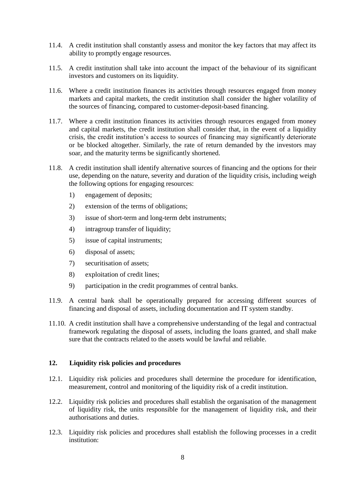- 11.4. A credit institution shall constantly assess and monitor the key factors that may affect its ability to promptly engage resources.
- 11.5. A credit institution shall take into account the impact of the behaviour of its significant investors and customers on its liquidity.
- 11.6. Where a credit institution finances its activities through resources engaged from money markets and capital markets, the credit institution shall consider the higher volatility of the sources of financing, compared to customer-deposit-based financing.
- 11.7. Where a credit institution finances its activities through resources engaged from money and capital markets, the credit institution shall consider that, in the event of a liquidity crisis, the credit institution's access to sources of financing may significantly deteriorate or be blocked altogether. Similarly, the rate of return demanded by the investors may soar, and the maturity terms be significantly shortened.
- 11.8. A credit institution shall identify alternative sources of financing and the options for their use, depending on the nature, severity and duration of the liquidity crisis, including weigh the following options for engaging resources:
	- 1) engagement of deposits;
	- 2) extension of the terms of obligations;
	- 3) issue of short-term and long-term debt instruments;
	- 4) intragroup transfer of liquidity;
	- 5) issue of capital instruments;
	- 6) disposal of assets;
	- 7) securitisation of assets;
	- 8) exploitation of credit lines;
	- 9) participation in the credit programmes of central banks.
- 11.9. A central bank shall be operationally prepared for accessing different sources of financing and disposal of assets, including documentation and IT system standby.
- 11.10. A credit institution shall have a comprehensive understanding of the legal and contractual framework regulating the disposal of assets, including the loans granted, and shall make sure that the contracts related to the assets would be lawful and reliable.

### **12. Liquidity risk policies and procedures**

- 12.1. Liquidity risk policies and procedures shall determine the procedure for identification, measurement, control and monitoring of the liquidity risk of a credit institution.
- 12.2. Liquidity risk policies and procedures shall establish the organisation of the management of liquidity risk, the units responsible for the management of liquidity risk, and their authorisations and duties.
- 12.3. Liquidity risk policies and procedures shall establish the following processes in a credit institution: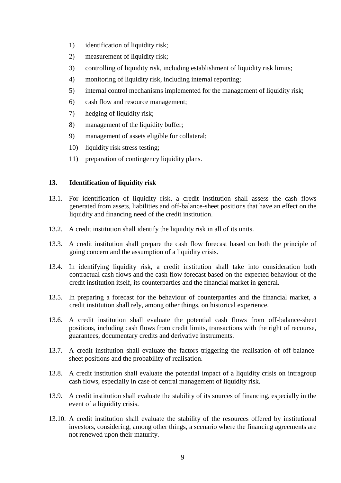- 1) identification of liquidity risk;
- 2) measurement of liquidity risk;
- 3) controlling of liquidity risk, including establishment of liquidity risk limits;
- 4) monitoring of liquidity risk, including internal reporting;
- 5) internal control mechanisms implemented for the management of liquidity risk;
- 6) cash flow and resource management;
- 7) hedging of liquidity risk;
- 8) management of the liquidity buffer;
- 9) management of assets eligible for collateral;
- 10) liquidity risk stress testing;
- 11) preparation of contingency liquidity plans.

# **13. Identification of liquidity risk**

- 13.1. For identification of liquidity risk, a credit institution shall assess the cash flows generated from assets, liabilities and off-balance-sheet positions that have an effect on the liquidity and financing need of the credit institution.
- 13.2. A credit institution shall identify the liquidity risk in all of its units.
- 13.3. A credit institution shall prepare the cash flow forecast based on both the principle of going concern and the assumption of a liquidity crisis.
- 13.4. In identifying liquidity risk, a credit institution shall take into consideration both contractual cash flows and the cash flow forecast based on the expected behaviour of the credit institution itself, its counterparties and the financial market in general.
- 13.5. In preparing a forecast for the behaviour of counterparties and the financial market, a credit institution shall rely, among other things, on historical experience.
- 13.6. A credit institution shall evaluate the potential cash flows from off-balance-sheet positions, including cash flows from credit limits, transactions with the right of recourse, guarantees, documentary credits and derivative instruments.
- 13.7. A credit institution shall evaluate the factors triggering the realisation of off-balancesheet positions and the probability of realisation.
- 13.8. A credit institution shall evaluate the potential impact of a liquidity crisis on intragroup cash flows, especially in case of central management of liquidity risk.
- 13.9. A credit institution shall evaluate the stability of its sources of financing, especially in the event of a liquidity crisis.
- 13.10. A credit institution shall evaluate the stability of the resources offered by institutional investors, considering, among other things, a scenario where the financing agreements are not renewed upon their maturity.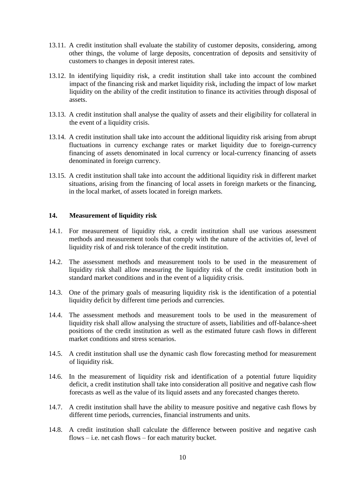- 13.11. A credit institution shall evaluate the stability of customer deposits, considering, among other things, the volume of large deposits, concentration of deposits and sensitivity of customers to changes in deposit interest rates.
- 13.12. In identifying liquidity risk, a credit institution shall take into account the combined impact of the financing risk and market liquidity risk, including the impact of low market liquidity on the ability of the credit institution to finance its activities through disposal of assets.
- 13.13. A credit institution shall analyse the quality of assets and their eligibility for collateral in the event of a liquidity crisis.
- 13.14. A credit institution shall take into account the additional liquidity risk arising from abrupt fluctuations in currency exchange rates or market liquidity due to foreign-currency financing of assets denominated in local currency or local-currency financing of assets denominated in foreign currency.
- 13.15. A credit institution shall take into account the additional liquidity risk in different market situations, arising from the financing of local assets in foreign markets or the financing, in the local market, of assets located in foreign markets.

### **14. Measurement of liquidity risk**

- 14.1. For measurement of liquidity risk, a credit institution shall use various assessment methods and measurement tools that comply with the nature of the activities of, level of liquidity risk of and risk tolerance of the credit institution.
- 14.2. The assessment methods and measurement tools to be used in the measurement of liquidity risk shall allow measuring the liquidity risk of the credit institution both in standard market conditions and in the event of a liquidity crisis.
- 14.3. One of the primary goals of measuring liquidity risk is the identification of a potential liquidity deficit by different time periods and currencies.
- 14.4. The assessment methods and measurement tools to be used in the measurement of liquidity risk shall allow analysing the structure of assets, liabilities and off-balance-sheet positions of the credit institution as well as the estimated future cash flows in different market conditions and stress scenarios.
- 14.5. A credit institution shall use the dynamic cash flow forecasting method for measurement of liquidity risk.
- 14.6. In the measurement of liquidity risk and identification of a potential future liquidity deficit, a credit institution shall take into consideration all positive and negative cash flow forecasts as well as the value of its liquid assets and any forecasted changes thereto.
- 14.7. A credit institution shall have the ability to measure positive and negative cash flows by different time periods, currencies, financial instruments and units.
- 14.8. A credit institution shall calculate the difference between positive and negative cash flows – i.e. net cash flows – for each maturity bucket.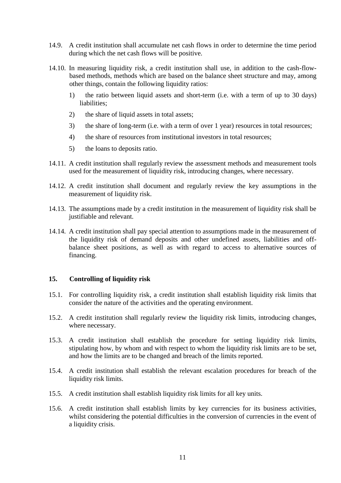- 14.9. A credit institution shall accumulate net cash flows in order to determine the time period during which the net cash flows will be positive.
- 14.10. In measuring liquidity risk, a credit institution shall use, in addition to the cash-flowbased methods, methods which are based on the balance sheet structure and may, among other things, contain the following liquidity ratios:
	- 1) the ratio between liquid assets and short-term (i.e. with a term of up to 30 days) liabilities;
	- 2) the share of liquid assets in total assets:
	- 3) the share of long-term (i.e. with a term of over 1 year) resources in total resources;
	- 4) the share of resources from institutional investors in total resources;
	- 5) the loans to deposits ratio.
- 14.11. A credit institution shall regularly review the assessment methods and measurement tools used for the measurement of liquidity risk, introducing changes, where necessary.
- 14.12. A credit institution shall document and regularly review the key assumptions in the measurement of liquidity risk.
- 14.13. The assumptions made by a credit institution in the measurement of liquidity risk shall be justifiable and relevant.
- 14.14. A credit institution shall pay special attention to assumptions made in the measurement of the liquidity risk of demand deposits and other undefined assets, liabilities and offbalance sheet positions, as well as with regard to access to alternative sources of financing.

## **15. Controlling of liquidity risk**

- 15.1. For controlling liquidity risk, a credit institution shall establish liquidity risk limits that consider the nature of the activities and the operating environment.
- 15.2. A credit institution shall regularly review the liquidity risk limits, introducing changes, where necessary.
- 15.3. A credit institution shall establish the procedure for setting liquidity risk limits, stipulating how, by whom and with respect to whom the liquidity risk limits are to be set, and how the limits are to be changed and breach of the limits reported.
- 15.4. A credit institution shall establish the relevant escalation procedures for breach of the liquidity risk limits.
- 15.5. A credit institution shall establish liquidity risk limits for all key units.
- 15.6. A credit institution shall establish limits by key currencies for its business activities, whilst considering the potential difficulties in the conversion of currencies in the event of a liquidity crisis.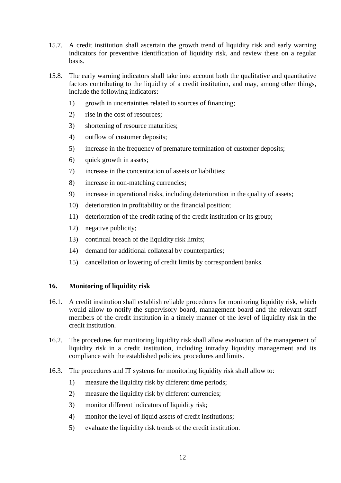- 15.7. A credit institution shall ascertain the growth trend of liquidity risk and early warning indicators for preventive identification of liquidity risk, and review these on a regular basis.
- 15.8. The early warning indicators shall take into account both the qualitative and quantitative factors contributing to the liquidity of a credit institution, and may, among other things, include the following indicators:
	- 1) growth in uncertainties related to sources of financing;
	- 2) rise in the cost of resources;
	- 3) shortening of resource maturities;
	- 4) outflow of customer deposits;
	- 5) increase in the frequency of premature termination of customer deposits;
	- 6) quick growth in assets;
	- 7) increase in the concentration of assets or liabilities;
	- 8) increase in non-matching currencies;
	- 9) increase in operational risks, including deterioration in the quality of assets;
	- 10) deterioration in profitability or the financial position;
	- 11) deterioration of the credit rating of the credit institution or its group;
	- 12) negative publicity;
	- 13) continual breach of the liquidity risk limits;
	- 14) demand for additional collateral by counterparties;
	- 15) cancellation or lowering of credit limits by correspondent banks.

### **16. Monitoring of liquidity risk**

- 16.1. A credit institution shall establish reliable procedures for monitoring liquidity risk, which would allow to notify the supervisory board, management board and the relevant staff members of the credit institution in a timely manner of the level of liquidity risk in the credit institution.
- 16.2. The procedures for monitoring liquidity risk shall allow evaluation of the management of liquidity risk in a credit institution, including intraday liquidity management and its compliance with the established policies, procedures and limits.
- 16.3. The procedures and IT systems for monitoring liquidity risk shall allow to:
	- 1) measure the liquidity risk by different time periods;
	- 2) measure the liquidity risk by different currencies;
	- 3) monitor different indicators of liquidity risk;
	- 4) monitor the level of liquid assets of credit institutions;
	- 5) evaluate the liquidity risk trends of the credit institution.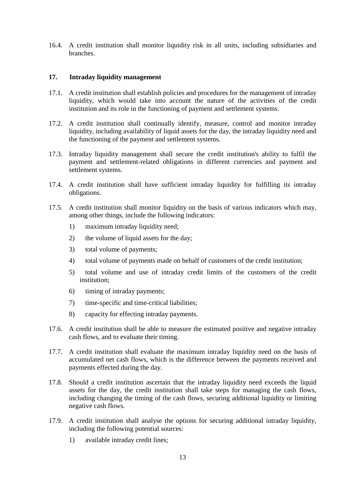16.4. A credit institution shall monitor liquidity risk in all units, including subsidiaries and branches.

## **17. Intraday liquidity management**

- 17.1. A credit institution shall establish policies and procedures for the management of intraday liquidity, which would take into account the nature of the activities of the credit institution and its role in the functioning of payment and settlement systems.
- 17.2. A credit institution shall continually identify, measure, control and monitor intraday liquidity, including availability of liquid assets for the day, the intraday liquidity need and the functioning of the payment and settlement systems.
- 17.3. Intraday liquidity management shall secure the credit institution's ability to fulfil the payment and settlement-related obligations in different currencies and payment and settlement systems.
- 17.4. A credit institution shall have sufficient intraday liquidity for fulfilling its intraday obligations.
- 17.5. A credit institution shall monitor liquidity on the basis of various indicators which may, among other things, include the following indicators:
	- 1) maximum intraday liquidity need;
	- 2) the volume of liquid assets for the day;
	- 3) total volume of payments;
	- 4) total volume of payments made on behalf of customers of the credit institution;
	- 5) total volume and use of intraday credit limits of the customers of the credit institution;
	- 6) timing of intraday payments;
	- 7) time-specific and time-critical liabilities;
	- 8) capacity for effecting intraday payments.
- 17.6. A credit institution shall be able to measure the estimated positive and negative intraday cash flows, and to evaluate their timing.
- 17.7. A credit institution shall evaluate the maximum intraday liquidity need on the basis of accumulated net cash flows, which is the difference between the payments received and payments effected during the day.
- 17.8. Should a credit institution ascertain that the intraday liquidity need exceeds the liquid assets for the day, the credit institution shall take steps for managing the cash flows, including changing the timing of the cash flows, securing additional liquidity or limiting negative cash flows.
- 17.9. A credit institution shall analyse the options for securing additional intraday liquidity, including the following potential sources:
	- 1) available intraday credit lines;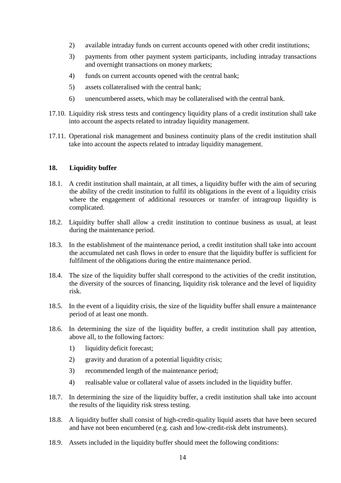- 2) available intraday funds on current accounts opened with other credit institutions;
- 3) payments from other payment system participants, including intraday transactions and overnight transactions on money markets;
- 4) funds on current accounts opened with the central bank;
- 5) assets collateralised with the central bank;
- 6) unencumbered assets, which may be collateralised with the central bank.
- 17.10. Liquidity risk stress tests and contingency liquidity plans of a credit institution shall take into account the aspects related to intraday liquidity management.
- 17.11. Operational risk management and business continuity plans of the credit institution shall take into account the aspects related to intraday liquidity management.

### **18. Liquidity buffer**

- 18.1. A credit institution shall maintain, at all times, a liquidity buffer with the aim of securing the ability of the credit institution to fulfil its obligations in the event of a liquidity crisis where the engagement of additional resources or transfer of intragroup liquidity is complicated.
- 18.2. Liquidity buffer shall allow a credit institution to continue business as usual, at least during the maintenance period.
- 18.3. In the establishment of the maintenance period, a credit institution shall take into account the accumulated net cash flows in order to ensure that the liquidity buffer is sufficient for fulfilment of the obligations during the entire maintenance period.
- 18.4. The size of the liquidity buffer shall correspond to the activities of the credit institution, the diversity of the sources of financing, liquidity risk tolerance and the level of liquidity risk.
- 18.5. In the event of a liquidity crisis, the size of the liquidity buffer shall ensure a maintenance period of at least one month.
- 18.6. In determining the size of the liquidity buffer, a credit institution shall pay attention, above all, to the following factors:
	- 1) liquidity deficit forecast;
	- 2) gravity and duration of a potential liquidity crisis;
	- 3) recommended length of the maintenance period;
	- 4) realisable value or collateral value of assets included in the liquidity buffer.
- 18.7. In determining the size of the liquidity buffer, a credit institution shall take into account the results of the liquidity risk stress testing.
- 18.8. A liquidity buffer shall consist of high-credit-quality liquid assets that have been secured and have not been encumbered (e.g. cash and low-credit-risk debt instruments).
- 18.9. Assets included in the liquidity buffer should meet the following conditions: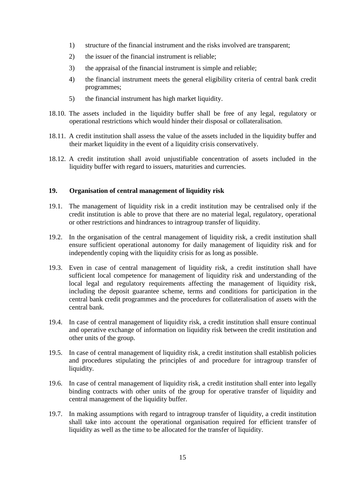- 1) structure of the financial instrument and the risks involved are transparent;
- 2) the issuer of the financial instrument is reliable;
- 3) the appraisal of the financial instrument is simple and reliable;
- 4) the financial instrument meets the general eligibility criteria of central bank credit programmes;
- 5) the financial instrument has high market liquidity.
- 18.10. The assets included in the liquidity buffer shall be free of any legal, regulatory or operational restrictions which would hinder their disposal or collateralisation.
- 18.11. A credit institution shall assess the value of the assets included in the liquidity buffer and their market liquidity in the event of a liquidity crisis conservatively.
- 18.12. A credit institution shall avoid unjustifiable concentration of assets included in the liquidity buffer with regard to issuers, maturities and currencies.

### **19. Organisation of central management of liquidity risk**

- 19.1. The management of liquidity risk in a credit institution may be centralised only if the credit institution is able to prove that there are no material legal, regulatory, operational or other restrictions and hindrances to intragroup transfer of liquidity.
- 19.2. In the organisation of the central management of liquidity risk, a credit institution shall ensure sufficient operational autonomy for daily management of liquidity risk and for independently coping with the liquidity crisis for as long as possible.
- 19.3. Even in case of central management of liquidity risk, a credit institution shall have sufficient local competence for management of liquidity risk and understanding of the local legal and regulatory requirements affecting the management of liquidity risk, including the deposit guarantee scheme, terms and conditions for participation in the central bank credit programmes and the procedures for collateralisation of assets with the central bank.
- 19.4. In case of central management of liquidity risk, a credit institution shall ensure continual and operative exchange of information on liquidity risk between the credit institution and other units of the group.
- 19.5. In case of central management of liquidity risk, a credit institution shall establish policies and procedures stipulating the principles of and procedure for intragroup transfer of liquidity.
- 19.6. In case of central management of liquidity risk, a credit institution shall enter into legally binding contracts with other units of the group for operative transfer of liquidity and central management of the liquidity buffer.
- 19.7. In making assumptions with regard to intragroup transfer of liquidity, a credit institution shall take into account the operational organisation required for efficient transfer of liquidity as well as the time to be allocated for the transfer of liquidity.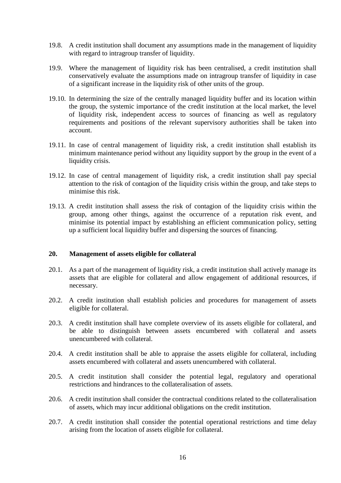- 19.8. A credit institution shall document any assumptions made in the management of liquidity with regard to intragroup transfer of liquidity.
- 19.9. Where the management of liquidity risk has been centralised, a credit institution shall conservatively evaluate the assumptions made on intragroup transfer of liquidity in case of a significant increase in the liquidity risk of other units of the group.
- 19.10. In determining the size of the centrally managed liquidity buffer and its location within the group, the systemic importance of the credit institution at the local market, the level of liquidity risk, independent access to sources of financing as well as regulatory requirements and positions of the relevant supervisory authorities shall be taken into account.
- 19.11. In case of central management of liquidity risk, a credit institution shall establish its minimum maintenance period without any liquidity support by the group in the event of a liquidity crisis.
- 19.12. In case of central management of liquidity risk, a credit institution shall pay special attention to the risk of contagion of the liquidity crisis within the group, and take steps to minimise this risk.
- 19.13. A credit institution shall assess the risk of contagion of the liquidity crisis within the group, among other things, against the occurrence of a reputation risk event, and minimise its potential impact by establishing an efficient communication policy, setting up a sufficient local liquidity buffer and dispersing the sources of financing.

### **20. Management of assets eligible for collateral**

- 20.1. As a part of the management of liquidity risk, a credit institution shall actively manage its assets that are eligible for collateral and allow engagement of additional resources, if necessary.
- 20.2. A credit institution shall establish policies and procedures for management of assets eligible for collateral.
- 20.3. A credit institution shall have complete overview of its assets eligible for collateral, and be able to distinguish between assets encumbered with collateral and assets unencumbered with collateral.
- 20.4. A credit institution shall be able to appraise the assets eligible for collateral, including assets encumbered with collateral and assets unencumbered with collateral.
- 20.5. A credit institution shall consider the potential legal, regulatory and operational restrictions and hindrances to the collateralisation of assets.
- 20.6. A credit institution shall consider the contractual conditions related to the collateralisation of assets, which may incur additional obligations on the credit institution.
- 20.7. A credit institution shall consider the potential operational restrictions and time delay arising from the location of assets eligible for collateral.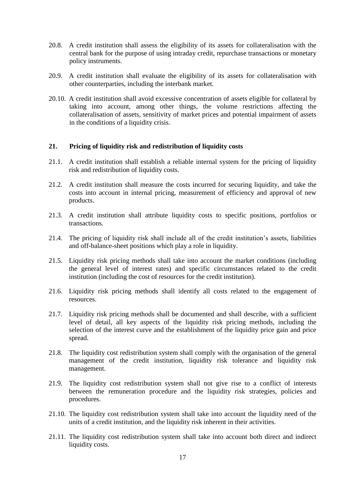- 20.8. A credit institution shall assess the eligibility of its assets for collateralisation with the central bank for the purpose of using intraday credit, repurchase transactions or monetary policy instruments.
- 20.9. A credit institution shall evaluate the eligibility of its assets for collateralisation with other counterparties, including the interbank market.
- 20.10. A credit institution shall avoid excessive concentration of assets eligible for collateral by taking into account, among other things, the volume restrictions affecting the collateralisation of assets, sensitivity of market prices and potential impairment of assets in the conditions of a liquidity crisis.

### **21. Pricing of liquidity risk and redistribution of liquidity costs**

- 21.1. A credit institution shall establish a reliable internal system for the pricing of liquidity risk and redistribution of liquidity costs.
- 21.2. A credit institution shall measure the costs incurred for securing liquidity, and take the costs into account in internal pricing, measurement of efficiency and approval of new products.
- 21.3. A credit institution shall attribute liquidity costs to specific positions, portfolios or transactions.
- 21.4. The pricing of liquidity risk shall include all of the credit institution's assets, liabilities and off-balance-sheet positions which play a role in liquidity.
- 21.5. Liquidity risk pricing methods shall take into account the market conditions (including the general level of interest rates) and specific circumstances related to the credit institution (including the cost of resources for the credit institution).
- 21.6. Liquidity risk pricing methods shall identify all costs related to the engagement of resources.
- 21.7. Liquidity risk pricing methods shall be documented and shall describe, with a sufficient level of detail, all key aspects of the liquidity risk pricing methods, including the selection of the interest curve and the establishment of the liquidity price gain and price spread.
- 21.8. The liquidity cost redistribution system shall comply with the organisation of the general management of the credit institution, liquidity risk tolerance and liquidity risk management.
- 21.9. The liquidity cost redistribution system shall not give rise to a conflict of interests between the remuneration procedure and the liquidity risk strategies, policies and procedures.
- 21.10. The liquidity cost redistribution system shall take into account the liquidity need of the units of a credit institution, and the liquidity risk inherent in their activities.
- 21.11. The liquidity cost redistribution system shall take into account both direct and indirect liquidity costs.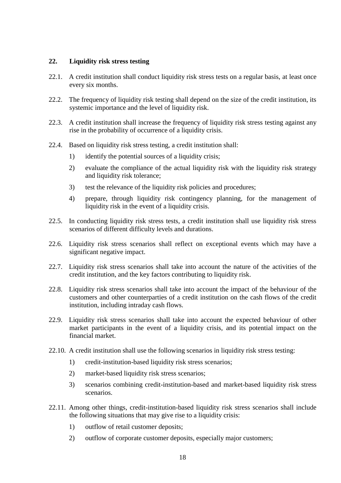### **22. Liquidity risk stress testing**

- 22.1. A credit institution shall conduct liquidity risk stress tests on a regular basis, at least once every six months.
- 22.2. The frequency of liquidity risk testing shall depend on the size of the credit institution, its systemic importance and the level of liquidity risk.
- 22.3. A credit institution shall increase the frequency of liquidity risk stress testing against any rise in the probability of occurrence of a liquidity crisis.
- 22.4. Based on liquidity risk stress testing, a credit institution shall:
	- 1) identify the potential sources of a liquidity crisis;
	- 2) evaluate the compliance of the actual liquidity risk with the liquidity risk strategy and liquidity risk tolerance;
	- 3) test the relevance of the liquidity risk policies and procedures;
	- 4) prepare, through liquidity risk contingency planning, for the management of liquidity risk in the event of a liquidity crisis.
- 22.5. In conducting liquidity risk stress tests, a credit institution shall use liquidity risk stress scenarios of different difficulty levels and durations.
- 22.6. Liquidity risk stress scenarios shall reflect on exceptional events which may have a significant negative impact.
- 22.7. Liquidity risk stress scenarios shall take into account the nature of the activities of the credit institution, and the key factors contributing to liquidity risk.
- 22.8. Liquidity risk stress scenarios shall take into account the impact of the behaviour of the customers and other counterparties of a credit institution on the cash flows of the credit institution, including intraday cash flows.
- 22.9. Liquidity risk stress scenarios shall take into account the expected behaviour of other market participants in the event of a liquidity crisis, and its potential impact on the financial market.
- 22.10. A credit institution shall use the following scenarios in liquidity risk stress testing:
	- 1) credit-institution-based liquidity risk stress scenarios;
	- 2) market-based liquidity risk stress scenarios;
	- 3) scenarios combining credit-institution-based and market-based liquidity risk stress scenarios.
- 22.11. Among other things, credit-institution-based liquidity risk stress scenarios shall include the following situations that may give rise to a liquidity crisis:
	- 1) outflow of retail customer deposits;
	- 2) outflow of corporate customer deposits, especially major customers;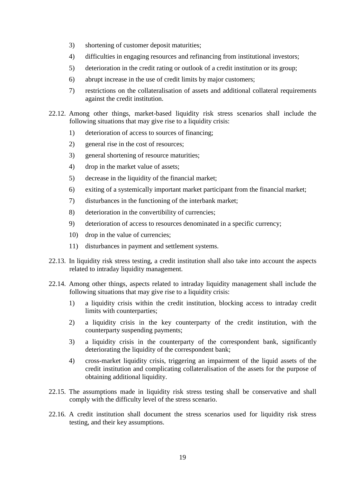- 3) shortening of customer deposit maturities;
- 4) difficulties in engaging resources and refinancing from institutional investors;
- 5) deterioration in the credit rating or outlook of a credit institution or its group;
- 6) abrupt increase in the use of credit limits by major customers;
- 7) restrictions on the collateralisation of assets and additional collateral requirements against the credit institution.
- 22.12. Among other things, market-based liquidity risk stress scenarios shall include the following situations that may give rise to a liquidity crisis:
	- 1) deterioration of access to sources of financing;
	- 2) general rise in the cost of resources;
	- 3) general shortening of resource maturities;
	- 4) drop in the market value of assets;
	- 5) decrease in the liquidity of the financial market;
	- 6) exiting of a systemically important market participant from the financial market;
	- 7) disturbances in the functioning of the interbank market;
	- 8) deterioration in the convertibility of currencies;
	- 9) deterioration of access to resources denominated in a specific currency;
	- 10) drop in the value of currencies;
	- 11) disturbances in payment and settlement systems.
- 22.13. In liquidity risk stress testing, a credit institution shall also take into account the aspects related to intraday liquidity management.
- 22.14. Among other things, aspects related to intraday liquidity management shall include the following situations that may give rise to a liquidity crisis:
	- 1) a liquidity crisis within the credit institution, blocking access to intraday credit limits with counterparties;
	- 2) a liquidity crisis in the key counterparty of the credit institution, with the counterparty suspending payments;
	- 3) a liquidity crisis in the counterparty of the correspondent bank, significantly deteriorating the liquidity of the correspondent bank;
	- 4) cross-market liquidity crisis, triggering an impairment of the liquid assets of the credit institution and complicating collateralisation of the assets for the purpose of obtaining additional liquidity.
- 22.15. The assumptions made in liquidity risk stress testing shall be conservative and shall comply with the difficulty level of the stress scenario.
- 22.16. A credit institution shall document the stress scenarios used for liquidity risk stress testing, and their key assumptions.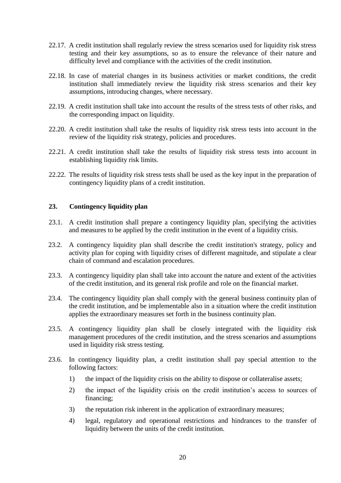- 22.17. A credit institution shall regularly review the stress scenarios used for liquidity risk stress testing and their key assumptions, so as to ensure the relevance of their nature and difficulty level and compliance with the activities of the credit institution.
- 22.18. In case of material changes in its business activities or market conditions, the credit institution shall immediately review the liquidity risk stress scenarios and their key assumptions, introducing changes, where necessary.
- 22.19. A credit institution shall take into account the results of the stress tests of other risks, and the corresponding impact on liquidity.
- 22.20. A credit institution shall take the results of liquidity risk stress tests into account in the review of the liquidity risk strategy, policies and procedures.
- 22.21. A credit institution shall take the results of liquidity risk stress tests into account in establishing liquidity risk limits.
- 22.22. The results of liquidity risk stress tests shall be used as the key input in the preparation of contingency liquidity plans of a credit institution.

## **23. Contingency liquidity plan**

- 23.1. A credit institution shall prepare a contingency liquidity plan, specifying the activities and measures to be applied by the credit institution in the event of a liquidity crisis.
- 23.2. A contingency liquidity plan shall describe the credit institution's strategy, policy and activity plan for coping with liquidity crises of different magnitude, and stipulate a clear chain of command and escalation procedures.
- 23.3. A contingency liquidity plan shall take into account the nature and extent of the activities of the credit institution, and its general risk profile and role on the financial market.
- 23.4. The contingency liquidity plan shall comply with the general business continuity plan of the credit institution, and be implementable also in a situation where the credit institution applies the extraordinary measures set forth in the business continuity plan.
- 23.5. A contingency liquidity plan shall be closely integrated with the liquidity risk management procedures of the credit institution, and the stress scenarios and assumptions used in liquidity risk stress testing.
- 23.6. In contingency liquidity plan, a credit institution shall pay special attention to the following factors:
	- 1) the impact of the liquidity crisis on the ability to dispose or collateralise assets;
	- 2) the impact of the liquidity crisis on the credit institution's access to sources of financing;
	- 3) the reputation risk inherent in the application of extraordinary measures;
	- 4) legal, regulatory and operational restrictions and hindrances to the transfer of liquidity between the units of the credit institution.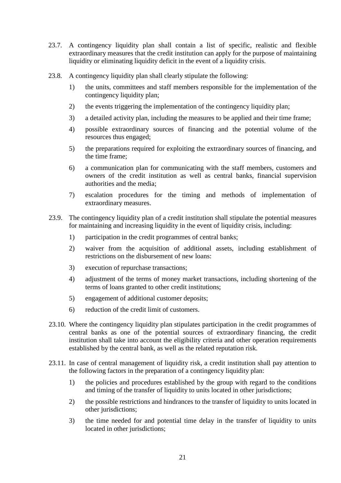- 23.7. A contingency liquidity plan shall contain a list of specific, realistic and flexible extraordinary measures that the credit institution can apply for the purpose of maintaining liquidity or eliminating liquidity deficit in the event of a liquidity crisis.
- 23.8. A contingency liquidity plan shall clearly stipulate the following:
	- 1) the units, committees and staff members responsible for the implementation of the contingency liquidity plan;
	- 2) the events triggering the implementation of the contingency liquidity plan;
	- 3) a detailed activity plan, including the measures to be applied and their time frame;
	- 4) possible extraordinary sources of financing and the potential volume of the resources thus engaged;
	- 5) the preparations required for exploiting the extraordinary sources of financing, and the time frame;
	- 6) a communication plan for communicating with the staff members, customers and owners of the credit institution as well as central banks, financial supervision authorities and the media;
	- 7) escalation procedures for the timing and methods of implementation of extraordinary measures.
- 23.9. The contingency liquidity plan of a credit institution shall stipulate the potential measures for maintaining and increasing liquidity in the event of liquidity crisis, including:
	- 1) participation in the credit programmes of central banks;
	- 2) waiver from the acquisition of additional assets, including establishment of restrictions on the disbursement of new loans:
	- 3) execution of repurchase transactions;
	- 4) adjustment of the terms of money market transactions, including shortening of the terms of loans granted to other credit institutions;
	- 5) engagement of additional customer deposits;
	- 6) reduction of the credit limit of customers.
- 23.10. Where the contingency liquidity plan stipulates participation in the credit programmes of central banks as one of the potential sources of extraordinary financing, the credit institution shall take into account the eligibility criteria and other operation requirements established by the central bank, as well as the related reputation risk.
- 23.11. In case of central management of liquidity risk, a credit institution shall pay attention to the following factors in the preparation of a contingency liquidity plan:
	- 1) the policies and procedures established by the group with regard to the conditions and timing of the transfer of liquidity to units located in other jurisdictions;
	- 2) the possible restrictions and hindrances to the transfer of liquidity to units located in other jurisdictions;
	- 3) the time needed for and potential time delay in the transfer of liquidity to units located in other jurisdictions;